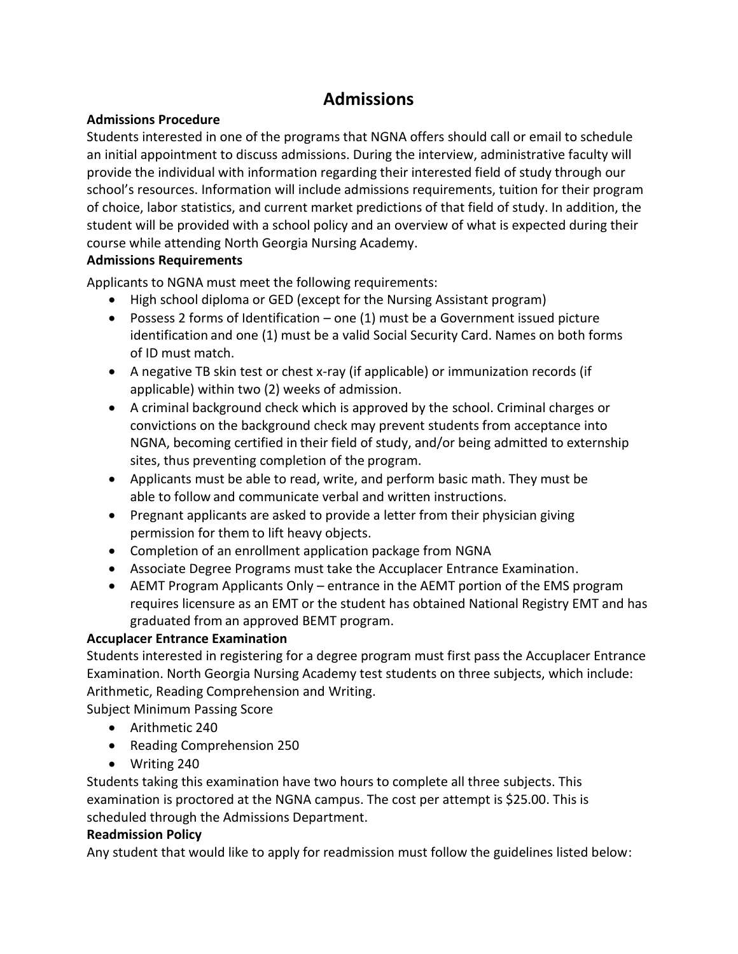# **Admissions**

## **Admissions Procedure**

Students interested in one of the programs that NGNA offers should call or email to schedule an initial appointment to discuss admissions. During the interview, administrative faculty will provide the individual with information regarding their interested field of study through our school's resources. Information will include admissions requirements, tuition for their program of choice, labor statistics, and current market predictions of that field of study. In addition, the student will be provided with a school policy and an overview of what is expected during their course while attending North Georgia Nursing Academy.

## **Admissions Requirements**

Applicants to NGNA must meet the following requirements:

- High school diploma or GED (except for the Nursing Assistant program)
- Possess 2 forms of Identification one (1) must be a Government issued picture identification and one (1) must be a valid Social Security Card. Names on both forms of ID must match.
- A negative TB skin test or chest x-ray (if applicable) or immunization records (if applicable) within two (2) weeks of admission.
- A criminal background check which is approved by the school. Criminal charges or convictions on the background check may prevent students from acceptance into NGNA, becoming certified in their field of study, and/or being admitted to externship sites, thus preventing completion of the program.
- Applicants must be able to read, write, and perform basic math. They must be able to follow and communicate verbal and written instructions.
- Pregnant applicants are asked to provide a letter from their physician giving permission for them to lift heavy objects.
- Completion of an enrollment application package from NGNA
- Associate Degree Programs must take the Accuplacer Entrance Examination.
- AEMT Program Applicants Only entrance in the AEMT portion of the EMS program requires licensure as an EMT or the student has obtained National Registry EMT and has graduated from an approved BEMT program.

# **Accuplacer Entrance Examination**

Students interested in registering for a degree program must first pass the Accuplacer Entrance Examination. North Georgia Nursing Academy test students on three subjects, which include: Arithmetic, Reading Comprehension and Writing.

Subject Minimum Passing Score

- Arithmetic 240
- Reading Comprehension 250
- Writing 240

Students taking this examination have two hours to complete all three subjects. This examination is proctored at the NGNA campus. The cost per attempt is \$25.00. This is scheduled through the Admissions Department.

# **Readmission Policy**

Any student that would like to apply for readmission must follow the guidelines listed below: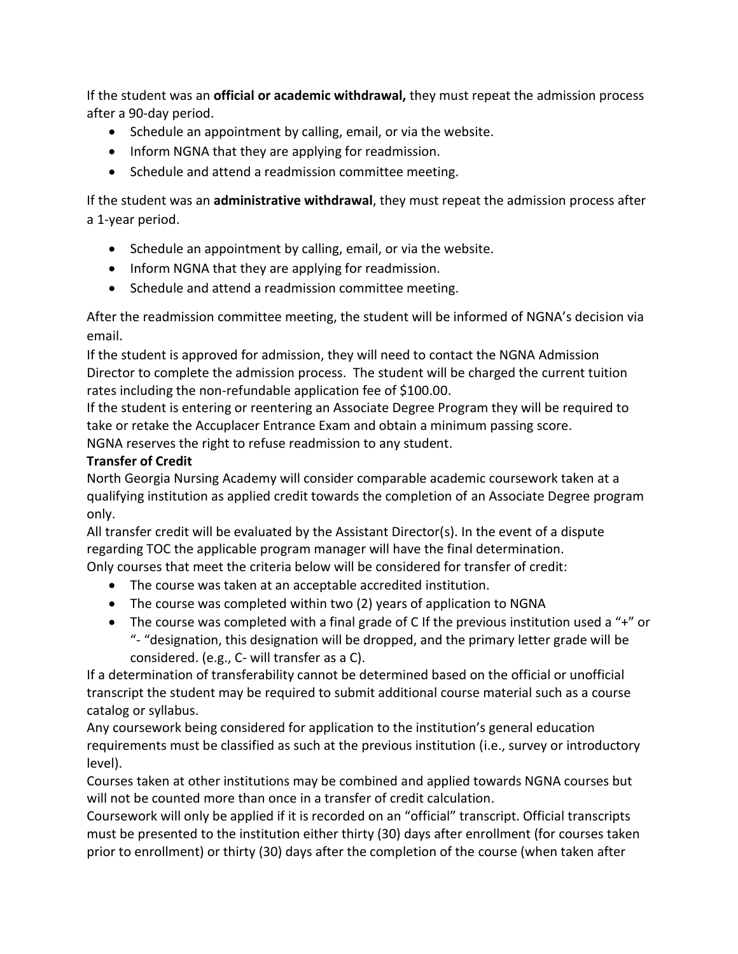If the student was an **official or academic withdrawal,** they must repeat the admission process after a 90-day period.

- Schedule an appointment by calling, email, or via the website.
- Inform NGNA that they are applying for readmission.
- Schedule and attend a readmission committee meeting.

If the student was an **administrative withdrawal**, they must repeat the admission process after a 1-year period.

- Schedule an appointment by calling, email, or via the website.
- Inform NGNA that they are applying for readmission.
- Schedule and attend a readmission committee meeting.

After the readmission committee meeting, the student will be informed of NGNA's decision via email.

If the student is approved for admission, they will need to contact the NGNA Admission Director to complete the admission process. The student will be charged the current tuition rates including the non-refundable application fee of \$100.00.

If the student is entering or reentering an Associate Degree Program they will be required to take or retake the Accuplacer Entrance Exam and obtain a minimum passing score.

NGNA reserves the right to refuse readmission to any student.

## **Transfer of Credit**

North Georgia Nursing Academy will consider comparable academic coursework taken at a qualifying institution as applied credit towards the completion of an Associate Degree program only.

All transfer credit will be evaluated by the Assistant Director(s). In the event of a dispute regarding TOC the applicable program manager will have the final determination. Only courses that meet the criteria below will be considered for transfer of credit:

- The course was taken at an acceptable accredited institution.
- The course was completed within two (2) years of application to NGNA
- The course was completed with a final grade of C If the previous institution used a "+" or "- "designation, this designation will be dropped, and the primary letter grade will be considered. (e.g., C- will transfer as a C).

If a determination of transferability cannot be determined based on the official or unofficial transcript the student may be required to submit additional course material such as a course catalog or syllabus.

Any coursework being considered for application to the institution's general education requirements must be classified as such at the previous institution (i.e., survey or introductory level).

Courses taken at other institutions may be combined and applied towards NGNA courses but will not be counted more than once in a transfer of credit calculation.

Coursework will only be applied if it is recorded on an "official" transcript. Official transcripts must be presented to the institution either thirty (30) days after enrollment (for courses taken prior to enrollment) or thirty (30) days after the completion of the course (when taken after